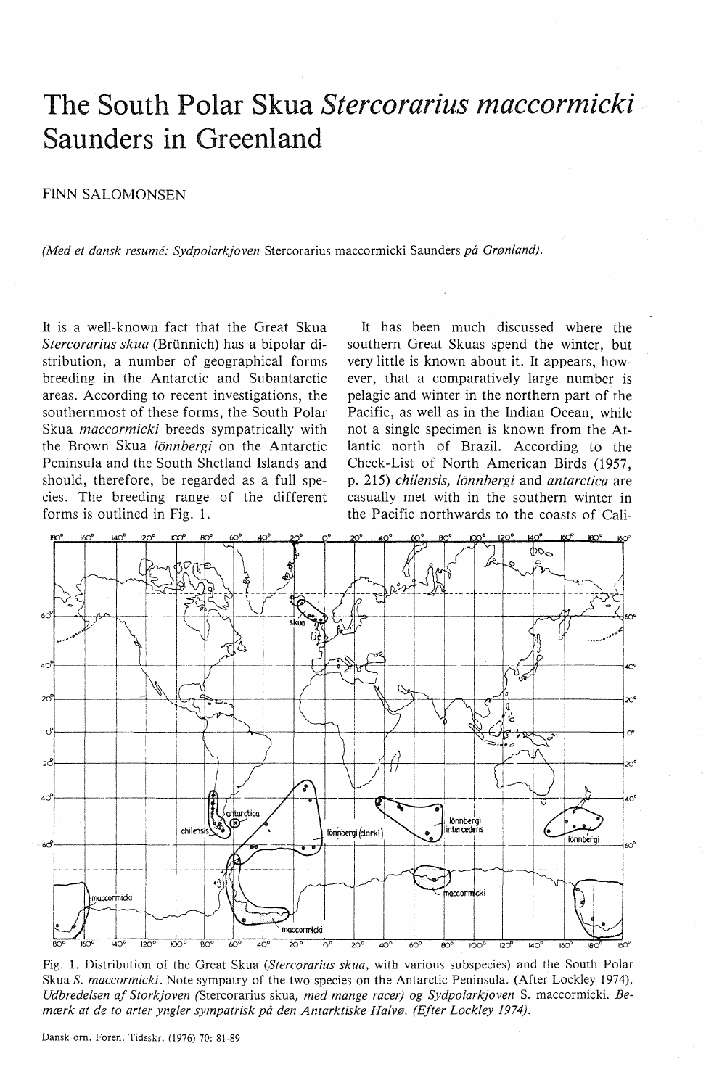# **The South Polar Skua** *Stercorarius maccormicki*  **Saunders in Greenland**

## FINN SALOMONSEN

*(Med et dansk resume: Sydpolarkjoven* Stercorarius maccormicki Saunders *på Grønland).* 

It is a well-known faet that the Great Skua *Stercorarius skua* (Brtinnich) has a bipolar distribution, a number of geographical forms breeding in the Antarctic and Subantarctic areas. According to recent investigations, the southernmost of these forms, the South Polar Skua *maccormicki* breeds sympatrically with the Brown Skua *!Onnbergi* on the Antarctic Peninsula and the South Shetland Islands and should, therefore, be regarded as a full species. The breeding range of the different forms is outlined in Fig. 1.

It has been much discussed where the southern Great Skuas spend the winter, but very little is known about it. It appears, however, that a comparatively large number is pelagic and winter in the northern part of the Pacific, as well as in the Indian Ocean, while not a single specimen is known from the Atlantic north of Brazil. According to the Check-List of North American Birds (1957, p. 215) *chilensis, lonnbergi* and *antarctica* are casually met with in the southern winter in the Pacific northwards to the coasts of Cali-



Fig. 1. Distribution of the Great Skua *(Stercorarius skua,* with various subspecies) and the South Polar Skua *S. maccormicki.* Note sympatry of the two species on the Antarctic Peninsula. (After Lockley 1974). *Udbredelsen af Storkjoven* (Stercorarius skua, *med mange racer) og Sydpolarkjoven* S. maccormicki. *Bemærk at de to arter yngler sympatrisk på den Antarktiske Halvø. (Efter Lockley 1974).*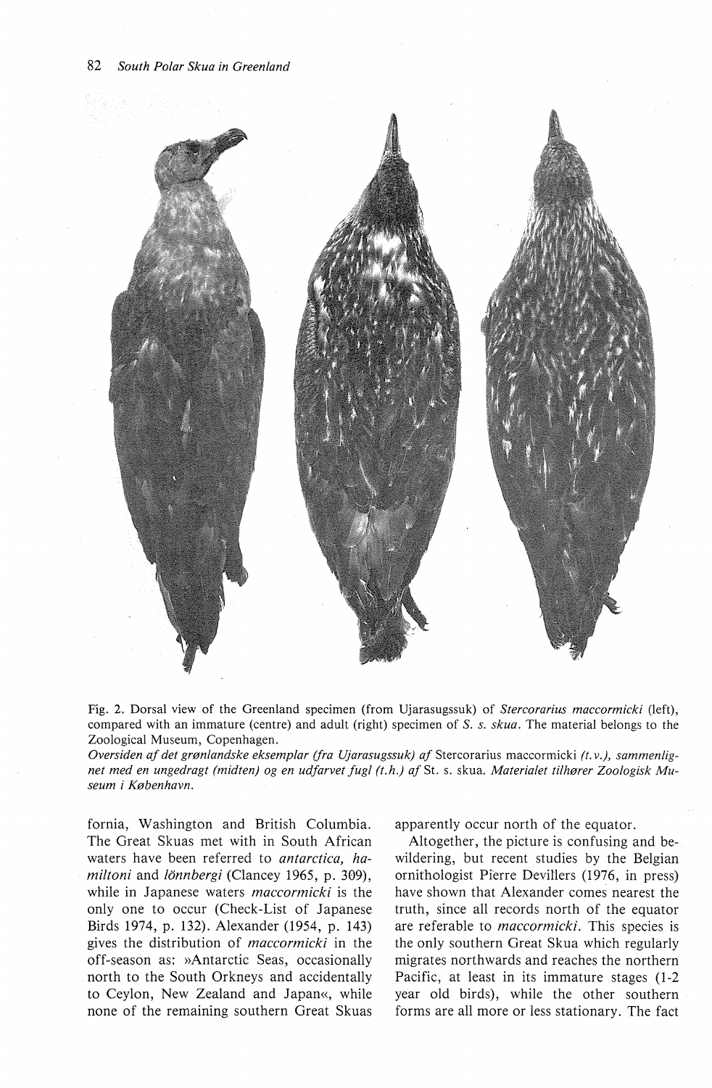

Fig. 2. Dorsal view of the Greenland specimen (from Ujarasugssuk) of *Stercorarius maccormicki* (left), compared with an immature (centre) and adult (right) specimen of *S. s. skua.* The material belongs to the Zoological Museum, Copenhagen.

*Oversiden af det grønlandske eksemplar (fra Ujarasugssuk) af* Stercorarius maccormicki *(t.v.), sammenlignet med en ungedragt (midten) og en udfarvet fugl (t.h.) af* St. s. skua. *Materialet tilhører Zoologisk Museum i København.* 

fornia, Washington and British Columbia. The Great Skuas met with in South African waters have been referred to *antarctica*, ha*miltoni* and *!Onnbergi* (Clancey 1965, p. 309), while in Japanese waters *maccormicki* is the only one to occur (Check-List of Japanese Birds 1974, p. 132). Alexander (1954, p. 143) gives the distribution of *maccormicki* in the off-season as: »Antarctic Seas, occasionally north to the South Orkneys and accidentally to Ceylon, New Zealand and Japan«, while none of the remaining southern Great Skuas

apparently occur north of the equator.

Altogether, the picture is confusing and bewildering, but recent studies by the Belgian ornithologist Pierre Devillers (1976, in press) have shown that Alexander comes nearest the truth, since all records north of the equator are referable to *maccormicki.* This species is the only southern Great Skua which regularly migrates northwards and reaches the northern Pacific, at least in its immature stages (1-2 year old hirds), while the other southern forms are all more or less stationary. The faet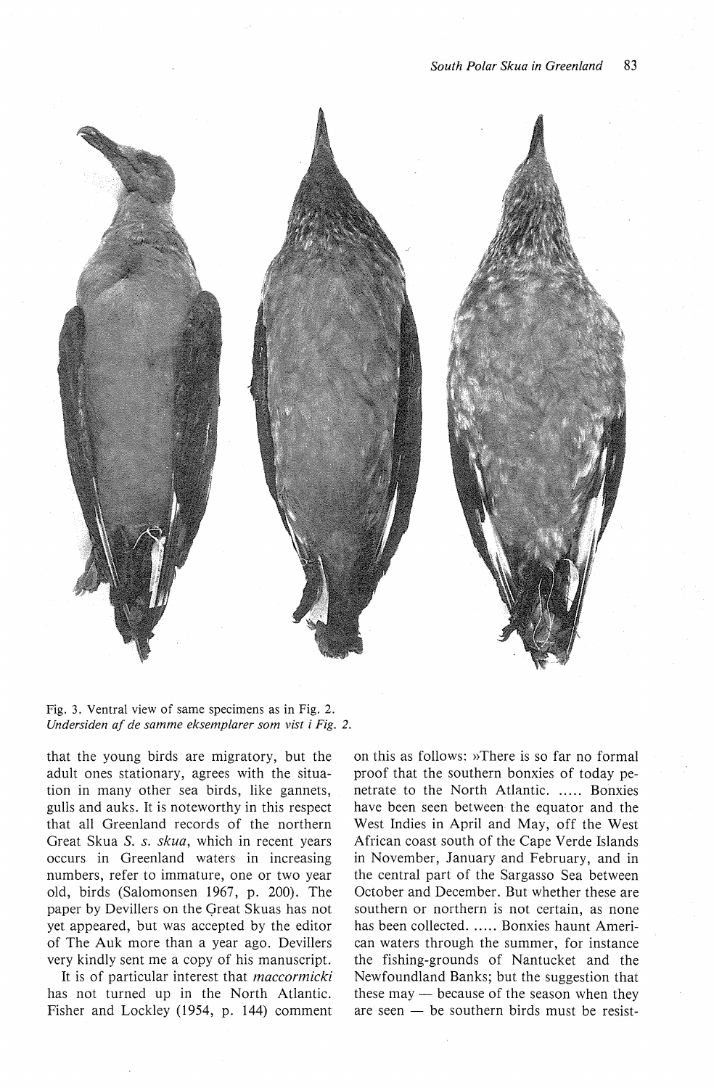

Fig. 3. Ventral view of same specimens as in Fig. 2. *Undersiden af de samme eksemplarer som vist i Fig. 2.* 

that the young birds are migratory, but the adult ones stationary, agrees with the situation in many other sea birds, like gannets, gulls and auks. It is noteworthy in this respect that all Greenland records of the northern Great Skua *S.* s. *skua,* which in recent years occurs in Greenland waters in increasing numbers, refer to immature, one or two year old, birds (Salomonsen 1967, p. 200). The paper by Devillers on the Qreat Skuas has not yet appeared, but was accepted by the editor of The Auk more than a year ago. Devillers very kindly sent me a copy of his manuscript.

It is of particular interest that *maccormicki*  has not turned up in the North Atlantic. Fisher and Lockley (1954, p. 144) comment on this as follows: »There is so far no formal proof that the southern bonxies of today penetrate to the North Atlantic. ..... Bonxies have been seen between the equator and the West Indies in April and May, off the West African coast south of the Cape Verde Islands in November, January and February, and in the central part of the Sargasso Sea between October and December. But whether these are southern or northern is not certain, as none has been collected. ..... Bonxies haunt American waters through the summer, for instance the fishing-grounds of Nantucket and the Newfoundland Banks; but the suggestion that these may  $-$  because of the season when they are seen  $-$  be southern birds must be resist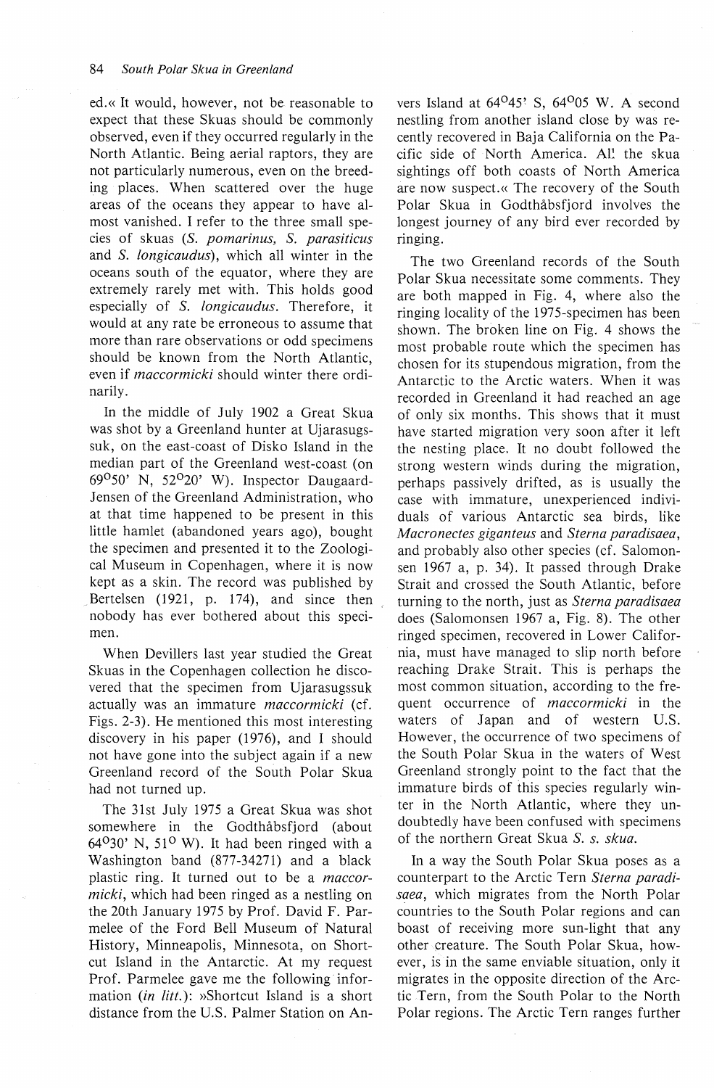ed.« It would, however, not be reasonable to expect that these Skuas should be commonly observed, even if they occurred regularly in the North Atlantic. Being aerial raptors, they are not particularly numerous, even on the breeding places. When scattered over the huge areas of the oceans they appear to have almost vanished. I refer to the three small species of skuas (S. *pomarinus, S. parasiticus*  and *S. longicaudus),* which all winter in the oceans south of the equator, where they are extremely rarely met with. This holds good especially of *S. longicaudus.* Therefore, it would at any rate be erroneous to assume that more than rare observations or odd specimens should be known from the North Atlantic, even if *maccormicki* should winter there ordinarily.

In the middle of July 1902 a Great Skua was shot by a Greenland hunter at Ujarasugssuk, on the east-coast of Disko Island in the median part of the Greenland west-coast (on 69°50' N, 52°20' W). Inspector Daugaard-Jensen of the Greenland Administration, who at that time happened to be present in this little hamlet (abandoned years ago), bought the specimen and presented it to the Zoological Museum in Copenhagen, where it is now kept as a skin. The record was published by Bertelsen (1921, p. 174), and since then nobody has ever bothered about this specimen.

When Devillers last year studied the Great Skuas in the Copenhagen collection he discovered that the specimen from Ujarasugssuk actually was an immature *maccormicki* (cf. Figs. 2-3). He mentioned this most interesting discovery in his paper  $(1976)$ , and I should not have gone into the subject again if a new Greenland record of the South Polar Skua had not turned up.

The 31st July 1975 a Great Skua was shot somewhere in the Godthåbsfjord (about  $64<sup>o</sup>30'$  N, 51<sup>o</sup> W). It had been ringed with a Washington band (877-34271) and a black plastic ring. It turned out to be a *maccormicki,* which had been ringed as a nestling on the 20th January 1975 by Prof. David F. Parmelee of the Ford Bell Museum of Natural History, Minneapolis, Minnesota, on Shortcut Island in the Antarctic. At my request Prof. Parmelee gave me the following information *(in litt.)*: »Shortcut Island is a short distance from the U.S. Palmer Station on An-

vers Island at  $64^{\circ}45$ ' S,  $64^{\circ}05$  W. A second nestling from another island close by was recently recovered in Baja California on the Pacific side of North America. All the skua sightings off both coasts of North America are now suspect.« The recovery of the South Polar Skua in Godthåbsfjord involves the longest journey of any bird ever recorded by ringing.

The two Greenland records of the South Polar Skua necessitate some comments. They are both mapped in Fig. 4, where also the ringing locality of the 1975-specimen has been shown. The broken line on Fig. 4 shows the most probable route which the specimen has chosen for its stupendous migration, from the Antarctic to the Arctic waters. When it was recorded in Greenland it had reached an age of only six months. This shows that it must have started migration very soon after it left the nesting place. It no doubt followed the strong western winds during the migration, perhaps passively drifted, as is usually the case with immature, unexperienced individuals of various Antarctic sea birds, like *Macronectes giganteus* and *Sterna paradisaea,*  and probably also other species (cf. Salomonsen 1967 a, p. 34). It passed through Drake Strait and crossed the South Atlantic, before turning to the north, just as *Sterna paradisaea*  does (Salomonsen 1967 a, Fig. 8). The other ringed specimen, recovered in Lower California, must have managed to slip north before reaching Drake Strait. This is perhaps the most common situation, according to the frequent occurrence of *maccormicki* in the waters of Japan and of western U.S. However, the occurrence of two specimens of the South Polar Skua in the waters of West Greenland strongly point to the faet that the immature birds of this species regularly winter in the North Atlantic, where they undoubtedly have been confused with specimens of the northern Great Skua *S.* s. *skua.* 

In a way the South Polar Skua poses as a counterpart to the Arctic Tern *Sterna paradisaea,* which migrates from the North Polar countries to the South Polar regions and can boast of receiving more sun-light that any other creature. The South Polar Skua, however, is in the same enviable situation, only it migrates in the opposite direction of the Arctic Tern, from the South Polar to the North Polar regions. The Arctic Tern ranges further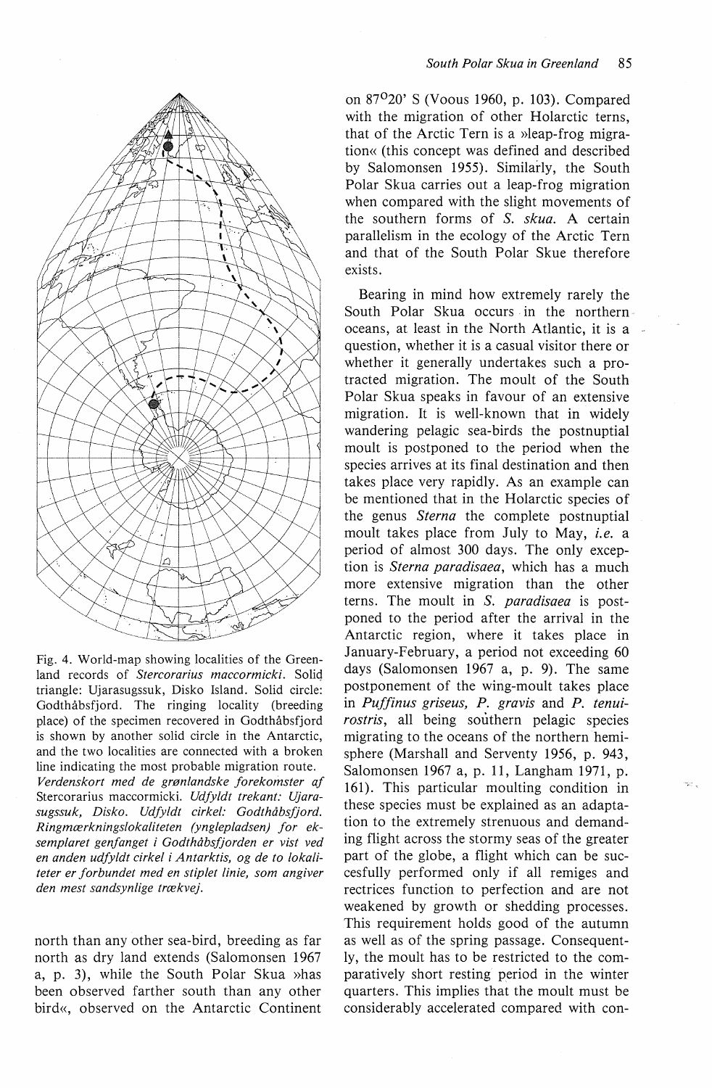

Fig. 4. World-map showing localities of the Greenland records of *Stercorarius maccormicki.* Soliq triangle: Ujarasugssuk, Disko Island. Solid circle: Godthåbsfjord. The ringing locality (breeding place) of the specimen recovered in Godthåbsfjord is shown by another solid circle in the Antarctic, and the two localities are connected with a broken line indicating the most probable migration route. *Verdenskort med de grønlandske forekomster af*  Stercorarius maccormicki. *Udfyldt trekant: Ujarasugssuk, Disko. Udfyldt cirkel: Godthåbsfjord. Ringmærkningslokaliteten (ynglepladsen) for eksemplaret genfanget i Godthåbsfjorden er vist ved en anden udfyldt cirkel i Antarktis, og de to lokaliteter er forbundet med en stiplet linie, som angiver den mest sandsynlige trækvej.* 

north than any other sea-bird, breeding as far north as dry land extends (Salomonsen 1967 a, p. 3), while the South Polar Skua »has been observed farther south than any other bird«, observed on the Antarctic Continent on 87°20' S (Voous 1960, p. 103). Compared with the migration of other Holarctic terns, that of the Arctic Tern is a »leap-frog migration« (this concept was defined and described by Salomonsen 1955). Similarly, the South Polar Skua carries out a leap-frog migration when compared with the slight movements of the southern forms of *S. skua.* A certain parallelism in the ecology of the Arctic Tern and that of the South Polar Skue therefore exists.

Bearing in mind how extremely rarely the South Polar Skua occurs in the northern oceans, at least in the North Atlantic, it is a question, whether it is a casual visitor there or whether it generally undertakes such a protracted migration. The moult of the South Polar Skua speaks in favour of an extensive migration. It is well-known that in widely wandering pelagic sea-birds the postnuptial moult is postponed to the period when the species arrives at its final destination and then takes place very rapidly. As an example can be mentioned that in the Holarctic species of the genus *Sterna* the complete postnuptial moult takes place from July to May, *i.e.* a period of almost 300 days. The only exception is *Sterna paradisaea,* which has a much more extensive migration than the other terns. The moult in *S. paradisaea* is postponed to the period after the arrival in the Antarctic region, where it takes place in January-February, a period not exceeding 60 days (Salomonsen 1967 a, p. 9). The same postponement of the wing-moult takes place in *Pufjinus griseus, P. gravis* and *P. tenuirostris,* all being southern pelagic species migrating to the oceans of the northern hemisphere (Marshall and Serventy 1956, p. 943, Salomonsen 1967 a, p. 11, Langham 1971, p. 161). This particular moulting condition in these species must be explained as an adaptation to the extremely strenuous and demanding flight across the stormy seas of the greater part of the globe, a flight which can be succesfully performed only if all remiges and rectrices function to perfection and are not weakened by growth or shedding processes. This requirement holds good of the autumn as well as of the spring passage. Consequently, the moult has to be restricted to the comparatively short resting period in the winter quarters. This implies that the moult must be considerably accelerated compared with con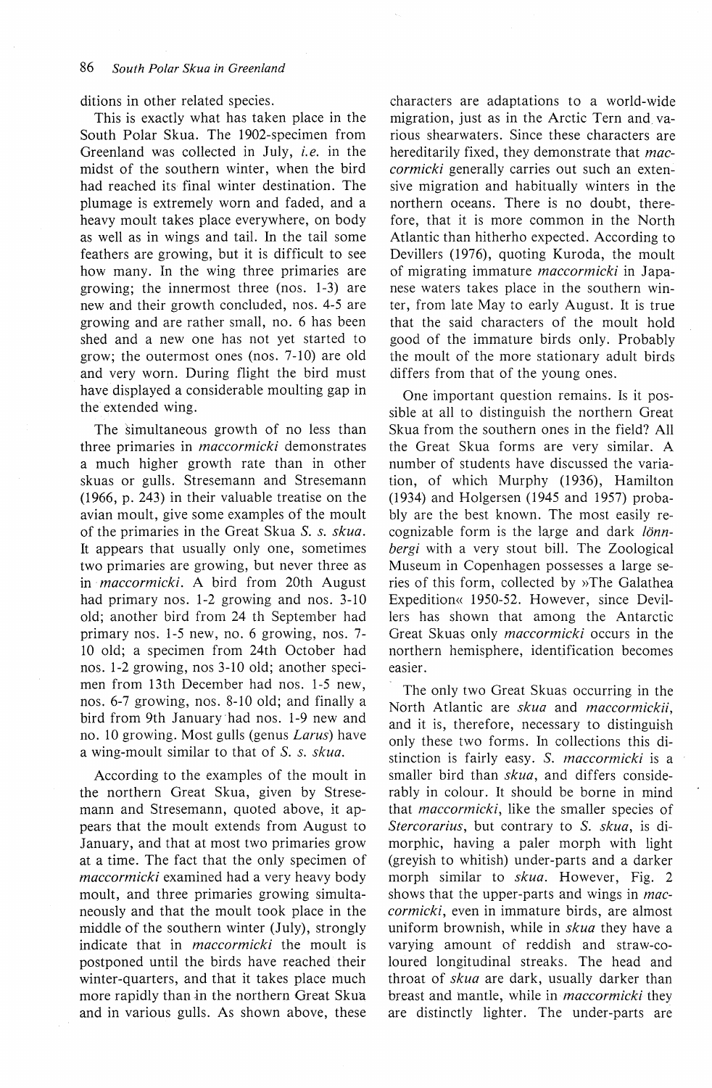ditions in other related species.

This is exactly what has taken place in the South Polar Skua. The 1902-specimen from Greenland was collected in July, *i.e.* in the midst of the southern winter, when the bird had reached its final winter destination. The plumage is extremely worn and faded, and a heavy moult takes place everywhere, on body as well as in wings and tail. In the tail some feathers are growing, but it is difficult to see how many. In the wing three primaries are growing; the innermost three (nos. 1-3) are new and their growth concluded, nos. 4-5 are growing and are rather small, no. 6 has been shed and a new one has not yet started to grow; the outermost ones (nos. 7-10) are old and very worn. During flight the bird must have displayed a considerable moulting gap in the extended wing.

The simultaneous growth of no less than three primaries in *maccormicki* demonstrates a much higher growth rate than in other skuas or gulls. Stresemann and Stresemann (1966, p. 243) in their valuable treatise on the avian moult, give some examples of the moult of the primaries in the Great Skua *S.* s. *skua.*  It appears that usually only one, sometimes two primaries are growing, but never three as in *maccormicki*. A bird from 20th August had primary nos. 1-2 growing and nos. 3-10 old; another bird from 24 th September had primary nos. 1-5 new, no. 6 growing, nos. 7- 10 old; a specimen from 24th October had nos. 1-2 growing, nos 3-10 old; another specimen from 13th December had nos. 1-5 new, nos. 6-7 growing, nos. 8-10 old; and finally a bird from 9th January had nos. 1-9 new and no. 10 growing. Most gulls (genus *Larus)* have a wing-moult similar to that of *S.* s. *skua.* 

According to the examples of the moult in the northern Great Skua, given by Stresemann and Stresemann, quoted above, it appears that the moult extends from August to January, and that at most two primaries grow at a time. The faet that the only specimen of *maccormicki* examined had a very heavy body moult, and three primaries growing simultaneously and that the moult took place in the middle of the southern winter (July), strongly indicate that in *maccormicki* the moult is postponed until the birds have reached their winter-quarters, and that it takes place much more rapidly than in the northern Great Skua and in various gulls. As shown above, these characters are adaptations to a world-wide migration, just as in the Arctic Tern and. various shearwaters. Since these characters are hereditarily fixed, they demonstrate that *maccormicki* generally carries out such an extensive migration and habitually winters in the northern oceans. There is no doubt, therefore, that it is more common in the North Atlantic than hitherho expected. According to Devillers (1976), quoting Kuroda, the moult of migrating immature *maccormicki* in Japanese waters takes place in the southern winter, from late May to early August. It is true that the said characters of the moult hold good of the immature birds only. Probably the moult of the more stationary adult birds differs from that of the young ones.

One important question remains. Is it possible at all to distinguish the northern Great Skua from the southern ones in the field? All the Great Skua forms are very similar. A number of students have discussed the variation, of which Murphy (1936), Hamilton (1934) and Holgersen (1945 and 1957) probably are the best known. The most easily recognizable form is the large and dark lönn*bergi* with a very stout bill. The Zoological Museum in Copenhagen possesses a large series of this form, collected by »The Galathea Expedition« 1950-52. However, since Devillers has shown that among the Antarctic Great Skuas only *maccormicki* occurs in the northern hemisphere, identification becomes easier.

The only two Great Skuas occurring in the North Atlantic are *skua* and *maccormickii,*  and it is, therefore, necessary to distinguish only these two forms. In collections this distinction is fairly easy. S. *maccormicki* is a smaller bird than *skua,* and differs considerably in colour. It should be borne in mind that *maccormicki,* like the smaller species of *Stercorarius,* but contrary to *S. skua,* is dimorphic, having a paler morph with light (greyish to whitish) under-parts and a darker morph similar to *skua.* However, Fig. 2 shows that the upper-parts and wings in *maccormicki,* even in immature birds, are almost uniform brownish, while in *skua* they have a varying amount of reddish and straw-coloured longitudinal streaks. The head and throat of *skua* are dark, usually darker than breast and mantle, while in *maccormicki* they are distinctly lighter. The under-parts are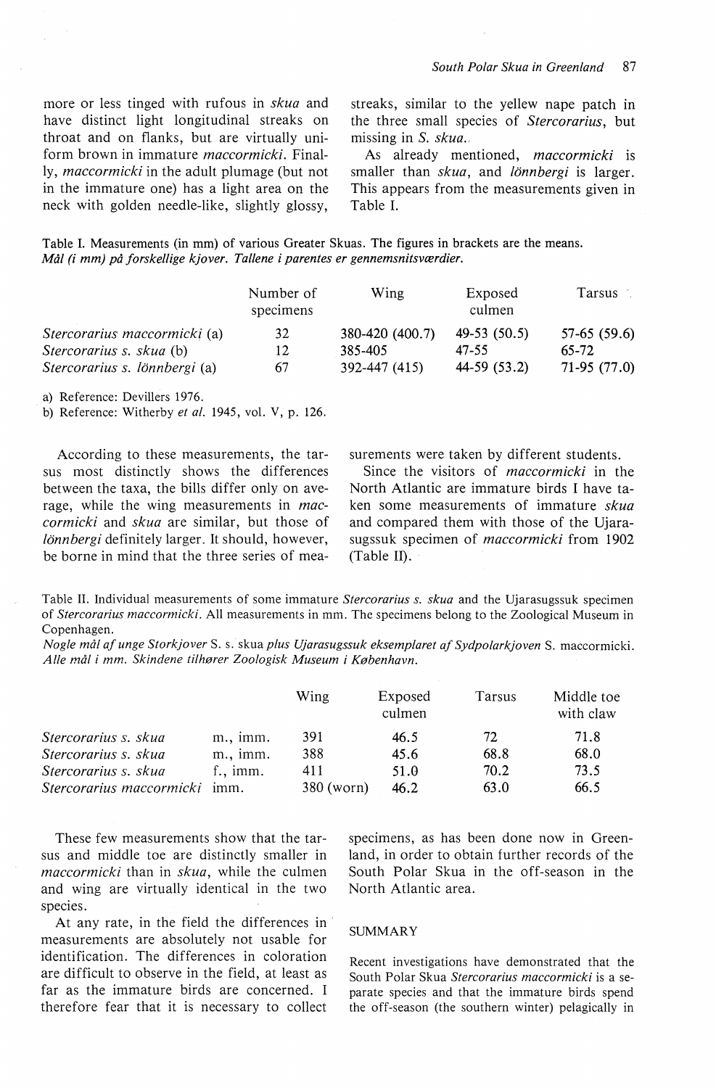more or less tinged with rufous in *skua* and have distinct light longitudinal streaks on throat and on flanks, but are virtually uniform brown in immature *maccormicki.* Finally, *maccormicki* in the adult plumage (but not in the immature one) has a light area on the neck with golden needle-like, slightly glossy,

streaks, similar to the yellew nape patch in the three small species of *Stercorarius,* but missing in *S. skua.* 

As already mentioned, *maccormicki* is smaller than *skua,* and *!Onnbergi* is larger. This appears from the measurements given in Table I.

Table I. Measurements (in mm) of various Greater Skuas. The figures in brackets are the means. *Mål (i mm) på forskellige kjover. Tallene* i *parentes er gennemsnitsværdier.* 

|                                 | Number of<br>specimens | Wing            | Exposed<br>culmen | Tarsus        |  |
|---------------------------------|------------------------|-----------------|-------------------|---------------|--|
| Stercorarius maccormicki (a)    | 32                     | 380-420 (400.7) | $49-53(50.5)$     | $57-65(59.6)$ |  |
| <i>Stercorarius s. skua</i> (b) | 12                     | 385-405         | 47-55             | 65-72         |  |
| Stercorarius s. lönnbergi (a)   | 67                     | 392-447 (415)   | 44-59 (53.2)      | 71-95 (77.0)  |  |

a) Reference: Devillers 1976.

b) Reference: Witherby *et al.* 1945, vol. V, p. 126.

According to these measurements, the tarsus most distinctly shows the differences between the taxa, the bills differ only on average, while the wing measurements in *maccormicki* and *skua* are similar, but those of *lönnbergi* definitely larger. It should, however, be borne in mind that the three series of measurements were taken by different students.

Since the visitors of *maccormicki* in the North Atlantic are immature birds I have taken some measurements of immature *skua*  and compared them with those of the Ujarasugssuk specimen of *maccormicki* from 1902 (Table II).

Table II. Individual measurements of some immature *Stercorarius s. skua* and the Ujarasugssuk specimen of *Stercorarius maccormicki.* All measurements in mm. The specimens belong to the Zoological Museum in Copenhagen.

*Nogle mål af unge Storkjover* S. s. skua *plus Ujarasugssuk eksemplaret af Sydpolarkjoven* S. maccormicki. *Alle mål i mm. Skindene tilhører Zoologisk Museum i København.* 

|                          |                    | Wing       | Exposed<br>culmen | Tarsus | Middle toe<br>with claw |
|--------------------------|--------------------|------------|-------------------|--------|-------------------------|
| Stercorarius s. skua     | $m$ ., imm.        | 391        | 46.5              | 72     | 71.8                    |
| Stercorarius s. skua     | $m$ . $imm$ .      | 388        | 45.6              | 68.8   | 68.0                    |
| Stercorarius s. skua     | $f_{\cdot}$ , imm. | 411        | 51.0              | 70.2   | 73.5                    |
| Stercorarius maccormicki | imm.               | 380 (worn) | 46.2              | 63.0   | 66.5                    |

These few measurements show that the tarsus and middle toe are distinctly smaller in *maccormicki* than in *skua,* while the culmen and wing are virtually identical in the two species.

At any rate, in the field the differences in measurements are absolutely not usable for identification. The differences in coloration are difficult to observe in the field, at least as far as the immature birds are concerned. I therefore fear that it is necessary to collect

specimens, as has been done now in Greenland, in order to obtain further records of the South Polar Skua in the off-season in the North Atlantic area.

## SUMMARY

Recent investigations have demonstrated that the South Polar Skua *Stercorarius maccormicki* is a separate species and that the immature birds spend the off-season (the southern winter) pelagically in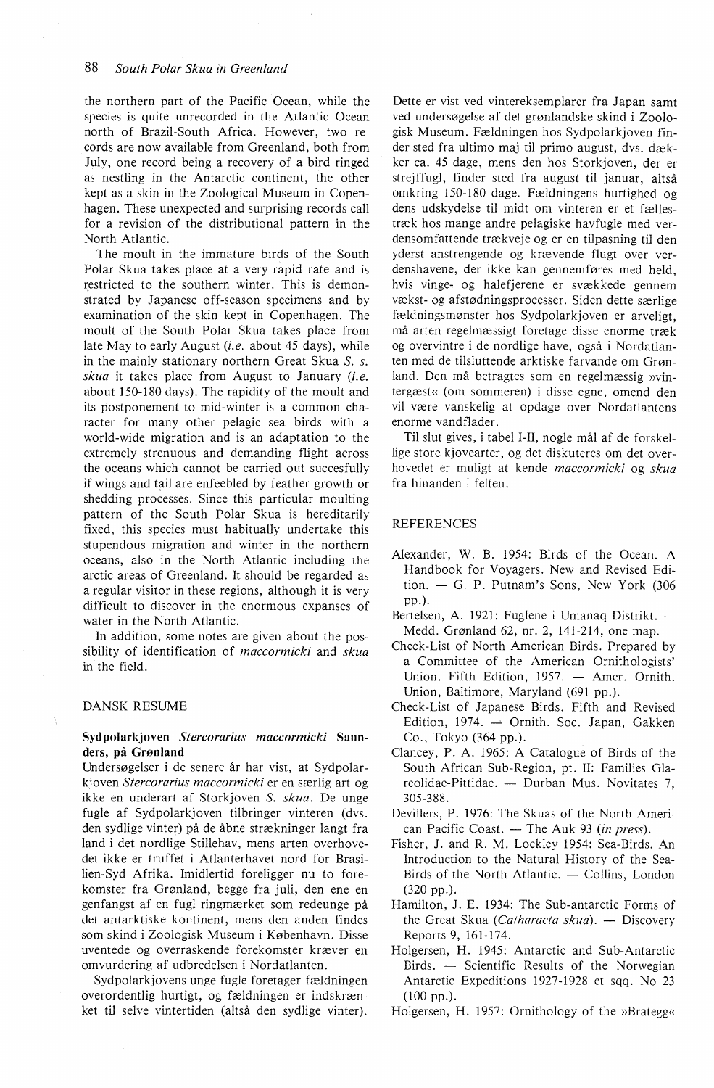the northern part of the Pacific Ocean, while the species is quite unrecorded in the Atlantic Ocean north of Brazil-South Africa. However, two records are now available from Greenland, both from July, one record being a recovery of a bird ringed as nestling in the Antarctic continent, the other kept as a skin in the Zoological Museum in Copenhagen. These unexpected and surprising records call for a revision of the distributional pattern in the North Atlantic.

The moult in the immature birds of the South Polar Skua takes place at a very rapid rate and is restricted to the southern winter. This is demonstrated by Japanese off-season specimens and by examination of the skin kept in Copenhagen. The moult of the South Polar Skua takes place from late May to early August *(i.e.* about 45 days), while in the mainly stationary northern Great Skua *S. s. skua* it takes place from August to January *(i.e.*  about 150-180 days). The rapidity of the moult and its postponement to mid-winter is a common character for many other pelagic sea birds with a world-wide migration and is an adaptation to the extremely strenuous and demanding flight across the oceans which cannot be carried out succesfully if wings and tail are enfeebled by feather growth or shedding processes. Since this particular moulting pattern of the South Polar Skua is hereditarily fixed, this species must habitually undertake this stupendous migration and winter in the northern oceans, also in the North Atlantic including the arctic areas of Greenland. It should be regarded as a regular visitor in these regions, although it is very difficult to discover in the enormous expanses of water in the North Atlantic.

In addition, some notes are given about the possibility of identification of *maccormicki* and *skua*  in the field.

#### DANSK RESUME

## **Sydpolarkjoven** *Stercorarius maccormicki* **Saunders, på Grønland**

Undersøgelser i de senere år har vist, at Sydpolarkjoven *Stercorarius maccormicki* er en særlig art og ikke en underart af Storkjoven *S. skua.* De unge fugle af Sydpolarkjoven tilbringer vinteren (dvs. den sydlige vinter) på de åbne strækninger langt fra land i det nordlige Stillehav, mens arten overhovedet ikke er truffet i Atlanterhavet nord for Brasilien-Syd Afrika. Imidlertid foreligger nu to forekomster fra Grønland, begge fra juli, den ene en genfangst af en fugl ringmærket som redeunge på det antarktiske kontinent, mens den anden findes som skind i Zoologisk Museum i København. Disse uventede og overraskende forekomster kræver en omvurdering af udbredelsen i Nordatlanten.

Sydpolarkjovens unge fugle foretager fældningen overordentlig hurtigt, og fældningen er indskrænket til selve vintertiden (altså den sydlige vinter).

Dette er vist ved vintereksemplarer fra Japan samt ved undersøgelse af det grønlandske skind i Zoologisk Museum. Fældningen hos Sydpolarkjoven finder sted fra ultimo maj til primo august, dvs. dækker ca. 45 dage, mens den hos Storkjoven, der er strejffugl, finder sted fra august til januar, altså omkring 150-180 dage. Fældningens hurtighed og dens udskydelse til midt om vinteren er et fællestræk hos mange andre pelagiske havfugle med verdensomfattende trækveje og er en tilpasning til den yderst anstrengende og krævende flugt over verdenshavene, der ikke kan gennemføres med held, hvis vinge- og halefjerene er svækkede gennem vækst- og afstødningsprocesser. Siden dette særlige fældningsmønster hos Sydpolarkjoven er arveligt, må arten regelmæssigt foretage disse enorme træk og overvintre i de nordlige have, også i Nordatlanten med de tilsluttende arktiske farvande om Grønland. Den må betragtes som en regelmæssig »vintergæst« (om sommeren) i disse egne, omend den vil være vanskelig at opdage over Nordatlantens enorme vandflader.

Til slut gives, i tabel I-II, nogle mål af de forskellige store kjovearter, og det diskuteres om det overhovedet er muligt at kende *maccormicki* og *skua*  fra hinanden i felten.

#### REFERENCES

- Alexander, W. B. 1954: Birds of the Ocean. A Handbook for Voyagers. New and Revised Edition.  $-$  G. P. Putnam's Sons, New York (306) pp.).
- Bertelsen, A. 1921: Fuglene i Umanaq Distrikt. -Medd. Grønland 62, nr. 2, 141-214, one map.
- Check-List of North American Birds. Prepared by a Committee of the American Ornithologists' Union. Fifth Edition, 1957. - Amer. Ornith. Union, Baltimore, Maryland (691 pp.).
- Check-List of Japanese Birds. Fifth and Revised Edition, 1974. - Ornith. Soc. Japan, Gakken Co., Tokyo (364 pp.).
- Clancey, P. A. 1965: A Catalogue of Birds of the South African Sub-Region, pt. Il: Families Glareolidae-Pittidae. - Durban Mus. Novitates 7, 305-388.
- Devillers, P. 1976: The Skuas of the North American Pacific Coast. - The Auk 93 *(in press)*.
- Fisher, J. and R. M. Lockley 1954: Sea-Birds. An Introduction to the Natura! History of the Sea-Birds of the North Atlantic.  $-$  Collins, London (320 pp.).
- Hamilton, J. E. 1934: The Sub-antarctic Forms of the Great Skua *(Catharacta skua)*. - Discovery Reports 9, 161-174.
- Holgersen, H. 1945: Antarctic and Sub-Antarctic Birds. - Scientific Results of the Norwegian Antarctic Expeditions 1927-1928 et sqq. No 23 (100 pp.).
- Holgersen, H. 1957: Ornithology of the »Brategg«